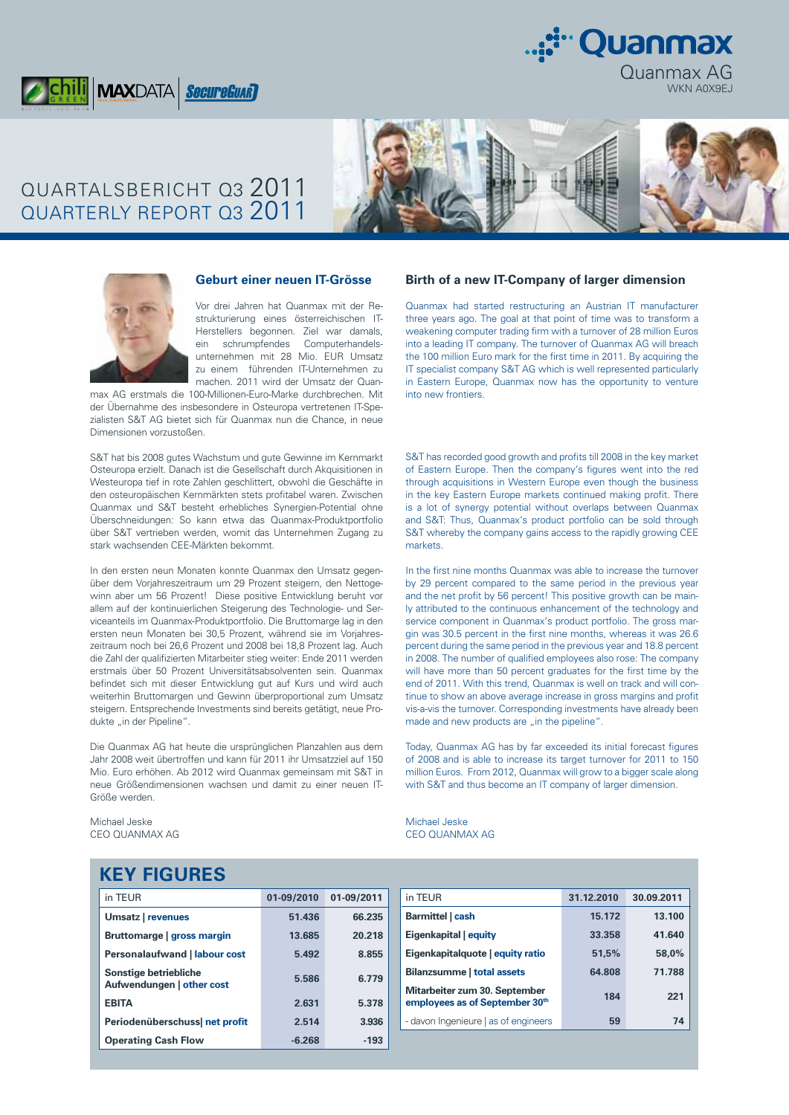



# QUARTALSBERICHT Q3 2011 QUARTERLY REPORT Q3 2011





**Geburt einer neuen IT-Grösse** 

Vor drei Jahren hat Quanmax mit der Restrukturierung eines österreichischen IT-Herstellers begonnen. Ziel war damals, ein schrumpfendes Computerhandelsunternehmen mit 28 Mio. EUR Umsatz zu einem führenden IT-Unternehmen zu machen. 2011 wird der Umsatz der Quan-

max AG erstmals die 100-Millionen-Euro-Marke durchbrechen. Mit der Übernahme des insbesondere in Osteuropa vertretenen IT-Spezialisten S&T AG bietet sich für Quanmax nun die Chance, in neue Dimensionen vorzustoßen.

S&T hat bis 2008 gutes Wachstum und gute Gewinne im Kernmarkt Osteuropa erzielt. Danach ist die Gesellschaft durch Akquisitionen in Westeuropa tief in rote Zahlen geschlittert, obwohl die Geschäfte in den osteuropäischen Kernmärkten stets profitabel waren. Zwischen Quanmax und S&T besteht erhebliches Synergien-Potential ohne Überschneidungen: So kann etwa das Quanmax-Produktportfolio über S&T vertrieben werden, womit das Unternehmen Zugang zu stark wachsenden CEE-Märkten bekommt.

In den ersten neun Monaten konnte Quanmax den Umsatz gegenüber dem Vorjahreszeitraum um 29 Prozent steigern, den Nettogewinn aber um 56 Prozent! Diese positive Entwicklung beruht vor allem auf der kontinuierlichen Steigerung des Technologie- und Serviceanteils im Quanmax-Produktportfolio. Die Bruttomarge lag in den ersten neun Monaten bei 30,5 Prozent, während sie im Vorjahreszeitraum noch bei 26,6 Prozent und 2008 bei 18,8 Prozent lag. Auch die Zahl der qualifizierten Mitarbeiter stieg weiter: Ende 2011 werden erstmals über 50 Prozent Universitätsabsolventen sein. Quanmax befindet sich mit dieser Entwicklung gut auf Kurs und wird auch weiterhin Bruttomargen und Gewinn überproportional zum Umsatz steigern. Entsprechende Investments sind bereits getätigt, neue Produkte "in der Pipeline".

Die Quanmax AG hat heute die ursprünglichen Planzahlen aus dem Jahr 2008 weit übertroffen und kann für 2011 ihr Umsatzziel auf 150 Mio. Euro erhöhen. Ab 2012 wird Quanmax gemeinsam mit S&T in neue Größendimensionen wachsen und damit zu einer neuen IT-Größe werden.

Michael Jeske CEO QUANMAX AG

#### **Birth of a new IT-Company of larger dimension**

Quanmax had started restructuring an Austrian IT manufacturer three years ago. The goal at that point of time was to transform a weakening computer trading firm with a turnover of 28 million Euros into a leading IT company. The turnover of Quanmax AG will breach the 100 million Euro mark for the first time in 2011. By acquiring the IT specialist company S&T AG which is well represented particularly in Eastern Europe, Quanmax now has the opportunity to venture into new frontiers.

S&T has recorded good growth and profits till 2008 in the key market of Eastern Europe. Then the company's figures went into the red through acquisitions in Western Europe even though the business in the key Eastern Europe markets continued making profit. There is a lot of synergy potential without overlaps between Quanmax and S&T: Thus, Quanmax's product portfolio can be sold through S&T whereby the company gains access to the rapidly growing CEE markets.

In the first nine months Quanmax was able to increase the turnover by 29 percent compared to the same period in the previous year and the net profit by 56 percent! This positive growth can be mainly attributed to the continuous enhancement of the technology and service component in Quanmax's product portfolio. The gross margin was 30.5 percent in the first nine months, whereas it was 26.6 percent during the same period in the previous year and 18.8 percent in 2008. The number of qualified employees also rose: The company will have more than 50 percent graduates for the first time by the end of 2011. With this trend, Quanmax is well on track and will continue to show an above average increase in gross margins and profit vis-a-vis the turnover. Corresponding investments have already been made and new products are ..in the pipeline".

Today, Quanmax AG has by far exceeded its initial forecast figures of 2008 and is able to increase its target turnover for 2011 to 150 million Euros. From 2012, Quanmax will grow to a bigger scale along with S&T and thus become an IT company of larger dimension.

Michael Jeske CEO QUANMAX AG

## **KEY FIGURES**

| in TEUR                                            | 01-09/2010 | 01-09/2011 |
|----------------------------------------------------|------------|------------|
| Umsatz   revenues                                  | 51.436     | 66.235     |
| Bruttomarge   gross margin                         | 13.685     | 20.218     |
| <b>Personalaufwand   labour cost</b>               | 5.492      | 8.855      |
| Sonstige betriebliche<br>Aufwendungen   other cost | 5.586      | 6.779      |
| <b>EBITA</b>                                       | 2.631      | 5.378      |
| Periodenüberschuss  net profit                     | 2.514      | 3.936      |
| <b>Operating Cash Flow</b>                         | $-6.268$   | $-193$     |

| in TEUR                                                         | 31.12.2010 | 30.09.2011 |
|-----------------------------------------------------------------|------------|------------|
| Barmittel   cash                                                | 15.172     | 13.100     |
| Eigenkapital equity                                             | 33.358     | 41.640     |
| Eigenkapitalquote   equity ratio                                | 51.5%      | 58,0%      |
| <b>Bilanzsumme   total assets</b>                               | 64.808     | 71.788     |
| Mitarbeiter zum 30. September<br>employees as of September 30th | 184        | 221        |
| - davon Ingenieure   as of engineers                            | 59         | 74         |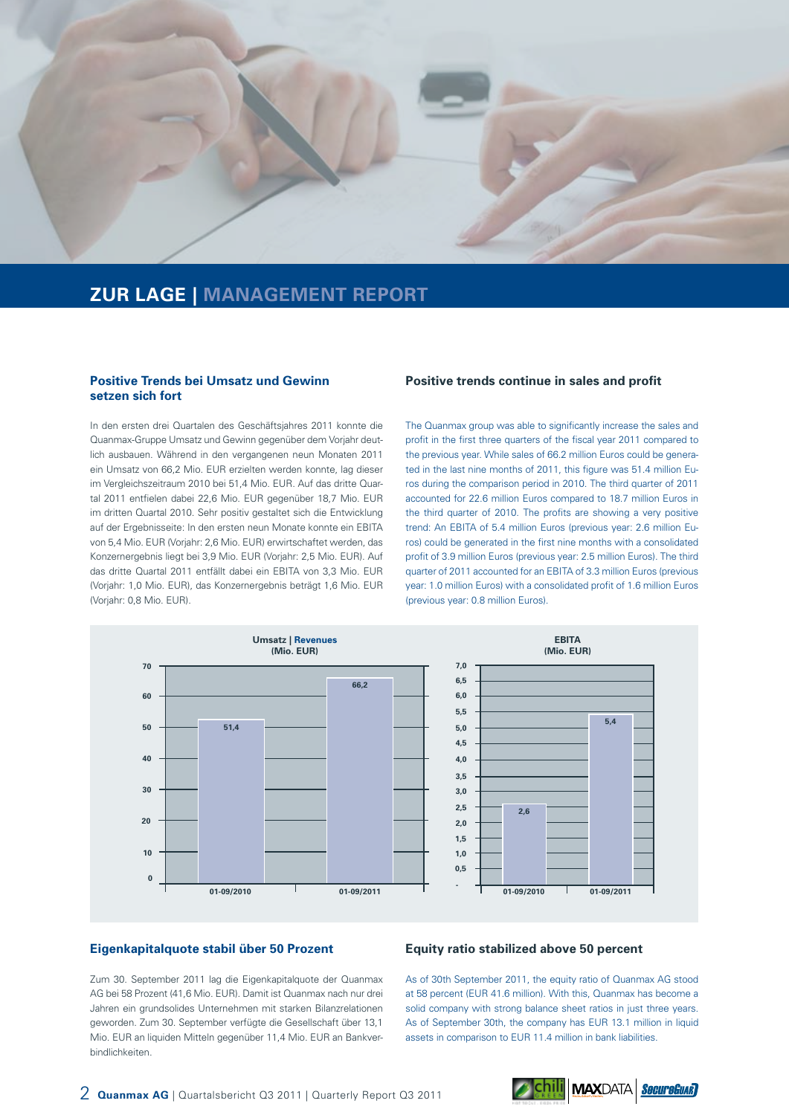

### **ZUR LAGE | MANAGEMENT REPORT**

#### **Positive Trends bei Umsatz und Gewinn setzen sich fort**

In den ersten drei Quartalen des Geschäftsjahres 2011 konnte die Quanmax-Gruppe Umsatz und Gewinn gegenüber dem Vorjahr deutlich ausbauen. Während in den vergangenen neun Monaten 2011 ein Umsatz von 66,2 Mio. EUR erzielten werden konnte, lag dieser im Vergleichszeitraum 2010 bei 51,4 Mio. EUR. Auf das dritte Quartal 2011 entfielen dabei 22,6 Mio. EUR gegenüber 18,7 Mio. EUR im dritten Quartal 2010. Sehr positiv gestaltet sich die Entwicklung auf der Ergebnisseite: In den ersten neun Monate konnte ein EBITA von 5,4 Mio. EUR (Vorjahr: 2,6 Mio. EUR) erwirtschaftet werden, das Konzernergebnis liegt bei 3,9 Mio. EUR (Vorjahr: 2,5 Mio. EUR). Auf das dritte Quartal 2011 entfällt dabei ein EBITA von 3,3 Mio. EUR (Vorjahr: 1,0 Mio. EUR), das Konzernergebnis beträgt 1,6 Mio. EUR (Vorjahr: 0,8 Mio. EUR).

#### **Positive trends continue in sales and profit**

The Quanmax group was able to significantly increase the sales and profit in the first three quarters of the fiscal year 2011 compared to the previous year. While sales of 66.2 million Euros could be generated in the last nine months of 2011, this figure was 51.4 million Euros during the comparison period in 2010. The third quarter of 2011 accounted for 22.6 million Euros compared to 18.7 million Euros in the third quarter of 2010. The profits are showing a very positive trend: An EBITA of 5.4 million Euros (previous year: 2.6 million Euros) could be generated in the first nine months with a consolidated profit of 3.9 million Euros (previous year: 2.5 million Euros). The third quarter of 2011 accounted for an EBITA of 3.3 million Euros (previous year: 1.0 million Euros) with a consolidated profit of 1.6 million Euros (previous year: 0.8 million Euros).



#### **Eigenkapitalquote stabil über 50 Prozent**

Zum 30. September 2011 lag die Eigenkapitalquote der Quanmax AG bei 58 Prozent (41,6 Mio. EUR). Damit ist Quanmax nach nur drei Jahren ein grundsolides Unternehmen mit starken Bilanzrelationen geworden. Zum 30. September verfügte die Gesellschaft über 13,1 Mio. EUR an liquiden Mitteln gegenüber 11,4 Mio. EUR an Bankverbindlichkeiten.

#### **Equity ratio stabilized above 50 percent**

As of 30th September 2011, the equity ratio of Quanmax AG stood at 58 percent (EUR 41.6 million). With this, Quanmax has become a solid company with strong balance sheet ratios in just three years. As of September 30th, the company has EUR 13.1 million in liquid assets in comparison to EUR 11.4 million in bank liabilities.

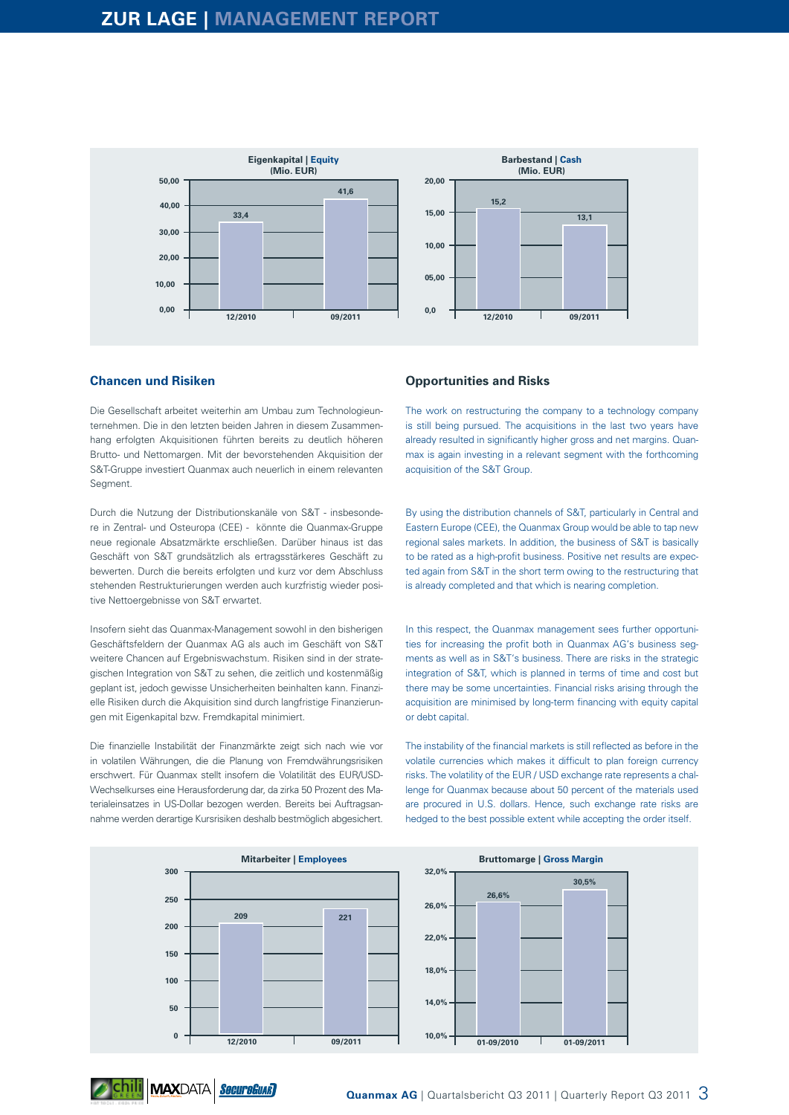

#### **Chancen und Risiken**

Die Gesellschaft arbeitet weiterhin am Umbau zum Technologieunternehmen. Die in den letzten beiden Jahren in diesem Zusammenhang erfolgten Akquisitionen führten bereits zu deutlich höheren Brutto- und Nettomargen. Mit der bevorstehenden Akquisition der S&T-Gruppe investiert Quanmax auch neuerlich in einem relevanten Segment.

Durch die Nutzung der Distributionskanäle von S&T - insbesondere in Zentral- und Osteuropa (CEE) - könnte die Quanmax-Gruppe neue regionale Absatzmärkte erschließen. Darüber hinaus ist das Geschäft von S&T grundsätzlich als ertragsstärkeres Geschäft zu bewerten. Durch die bereits erfolgten und kurz vor dem Abschluss stehenden Restrukturierungen werden auch kurzfristig wieder positive Nettoergebnisse von S&T erwartet.

Insofern sieht das Quanmax-Management sowohl in den bisherigen Geschäftsfeldern der Quanmax AG als auch im Geschäft von S&T weitere Chancen auf Ergebniswachstum. Risiken sind in der strategischen Integration von S&T zu sehen, die zeitlich und kostenmäßig geplant ist, jedoch gewisse Unsicherheiten beinhalten kann. Finanzielle Risiken durch die Akquisition sind durch langfristige Finanzierungen mit Eigenkapital bzw. Fremdkapital minimiert.

Die finanzielle Instabilität der Finanzmärkte zeigt sich nach wie vor in volatilen Währungen, die die Planung von Fremdwährungsrisiken erschwert. Für Quanmax stellt insofern die Volatilität des EUR/USD-Wechselkurses eine Herausforderung dar, da zirka 50 Prozent des Materialeinsatzes in US-Dollar bezogen werden. Bereits bei Auftragsannahme werden derartige Kursrisiken deshalb bestmöglich abgesichert.

Chili MAXDATA SecureCuar

#### **Opportunities and Risks**

The work on restructuring the company to a technology company is still being pursued. The acquisitions in the last two years have already resulted in significantly higher gross and net margins. Quanmax is again investing in a relevant segment with the forthcoming acquisition of the S&T Group.

By using the distribution channels of S&T, particularly in Central and Eastern Europe (CEE), the Quanmax Group would be able to tap new regional sales markets. In addition, the business of S&T is basically to be rated as a high-profit business. Positive net results are expected again from S&T in the short term owing to the restructuring that is already completed and that which is nearing completion.

In this respect, the Quanmax management sees further opportunities for increasing the profit both in Quanmax AG's business segments as well as in S&T's business. There are risks in the strategic integration of S&T, which is planned in terms of time and cost but there may be some uncertainties. Financial risks arising through the acquisition are minimised by long-term financing with equity capital or debt capital.

The instability of the financial markets is still reflected as before in the volatile currencies which makes it difficult to plan foreign currency risks. The volatility of the EUR / USD exchange rate represents a challenge for Quanmax because about 50 percent of the materials used are procured in U.S. dollars. Hence, such exchange rate risks are hedged to the best possible extent while accepting the order itself.

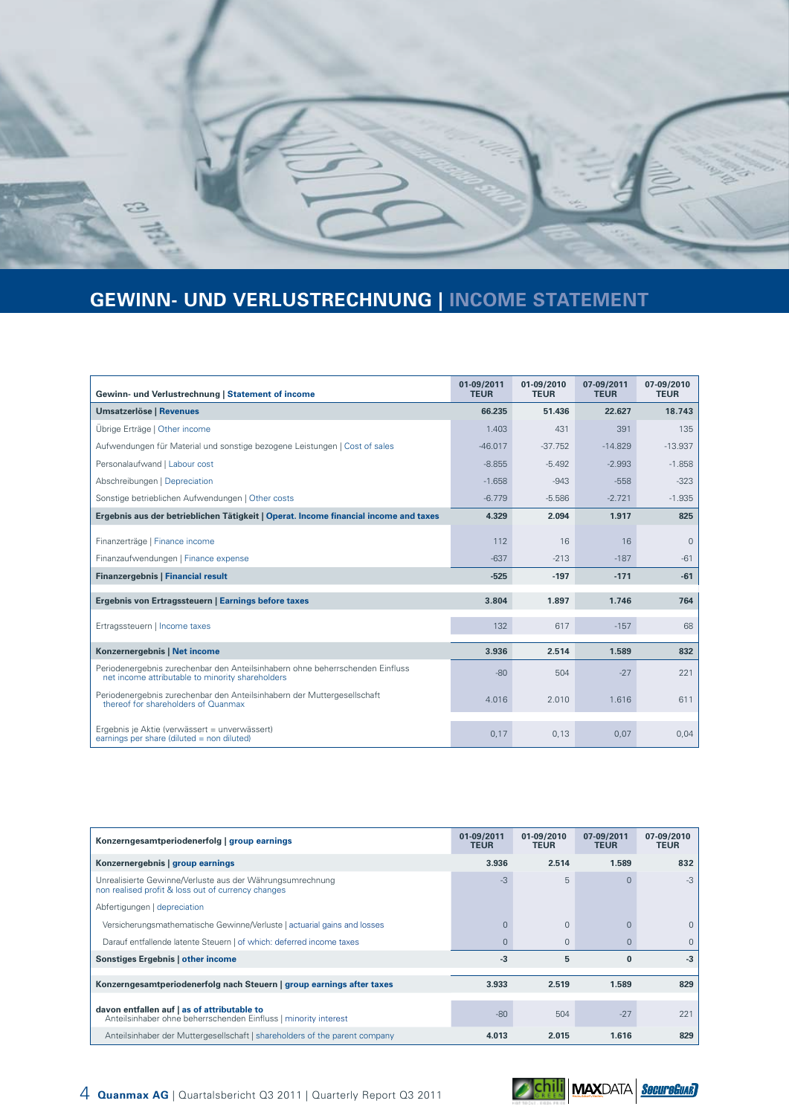

# **GEWINN- UND VERLUSTRECHNUNG | INCOME STATEMENT**

| Gewinn- und Verlustrechnung   Statement of income                                                                                 | 01-09/2011<br><b>TEUR</b> | 01-09/2010<br><b>TEUR</b> | 07-09/2011<br><b>TEUR</b> | 07-09/2010<br><b>TEUR</b> |
|-----------------------------------------------------------------------------------------------------------------------------------|---------------------------|---------------------------|---------------------------|---------------------------|
| <b>Umsatzerlöse   Revenues</b>                                                                                                    | 66.235                    | 51.436                    | 22.627                    | 18.743                    |
| Übrige Erträge   Other income                                                                                                     | 1.403                     | 431                       | 391                       | 135                       |
| Aufwendungen für Material und sonstige bezogene Leistungen   Cost of sales                                                        | $-46.017$                 | $-37.752$                 | $-14.829$                 | $-13.937$                 |
| Personalaufwand   Labour cost                                                                                                     | $-8.855$                  | $-5.492$                  | $-2.993$                  | $-1.858$                  |
| Abschreibungen   Depreciation                                                                                                     | $-1.658$                  | $-943$                    | $-558$                    | $-323$                    |
| Sonstige betrieblichen Aufwendungen   Other costs                                                                                 | $-6.779$                  | $-5.586$                  | $-2.721$                  | $-1.935$                  |
| Ergebnis aus der betrieblichen Tätigkeit   Operat. Income financial income and taxes                                              | 4.329                     | 2.094                     | 1.917                     | 825                       |
| Finanzerträge   Finance income                                                                                                    | 112                       | 16                        | 16                        | $\mathbf{0}$              |
| Finanzaufwendungen   Finance expense                                                                                              | $-637$                    | $-213$                    | $-187$                    | $-61$                     |
| <b>Finanzergebnis   Financial result</b>                                                                                          | $-525$                    | $-197$                    | $-171$                    | $-61$                     |
| Ergebnis von Ertragssteuern   Earnings before taxes                                                                               | 3.804                     | 1.897                     | 1.746                     | 764                       |
| Ertragssteuern   Income taxes                                                                                                     | 132                       | 617                       | $-157$                    | 68                        |
| Konzernergebnis   Net income                                                                                                      | 3.936                     | 2.514                     | 1.589                     | 832                       |
| Periodenergebnis zurechenbar den Anteilsinhabern ohne beherrschenden Einfluss<br>net income attributable to minority shareholders | $-80$                     | 504                       | $-27$                     | 221                       |
| Periodenergebnis zurechenbar den Anteilsinhabern der Muttergesellschaft<br>thereof for shareholders of Quanmax                    | 4.016                     | 2.010                     | 1.616                     | 611                       |
| Ergebnis je Aktie (verwässert = unverwässert)<br>earnings per share (diluted $=$ non diluted)                                     | 0,17                      | 0,13                      | 0,07                      | 0,04                      |

| Konzerngesamtperiodenerfolg   group earnings                                                                    | 01-09/2011<br><b>TEUR</b> | 01-09/2010<br><b>TEUR</b> | 07-09/2011<br><b>TEUR</b> | 07-09/2010<br><b>TEUR</b> |
|-----------------------------------------------------------------------------------------------------------------|---------------------------|---------------------------|---------------------------|---------------------------|
| Konzernergebnis   group earnings                                                                                | 3.936                     | 2.514                     | 1.589                     | 832                       |
| Unrealisierte Gewinne/Verluste aus der Währungsumrechnung<br>non realised profit & loss out of currency changes | $-3$                      | 5                         | $\Omega$                  | $-3$                      |
| Abfertigungen   depreciation                                                                                    |                           |                           |                           |                           |
| Versicherungsmathematische Gewinne/Verluste   actuarial gains and losses                                        |                           | $\mathbf{0}$              | $\Omega$                  | $\Omega$                  |
| Darauf entfallende latente Steuern   of which: deferred income taxes                                            |                           | $\mathbf{0}$              | $\Omega$                  | $\Omega$                  |
| Sonstiges Ergebnis   other income                                                                               | $-3$                      | 5                         | $\bf{0}$                  | $-3$                      |
| Konzerngesamtperiodenerfolg nach Steuern   group earnings after taxes                                           | 3.933                     | 2.519                     | 1.589                     | 829                       |
|                                                                                                                 |                           |                           |                           |                           |
| davon entfallen auf   as of attributable to<br>Anteilsinhaber ohne beherrschenden Einfluss   minority interest  | $-80$                     | 504                       | $-27$                     | 221                       |
| Anteilsinhaber der Muttergesellschaft   shareholders of the parent company                                      | 4.013                     | 2.015                     | 1.616                     | 829                       |

4 **Quanmax AG** | Quartalsbericht Q3 2011 | Quarterly Report Q3 2011

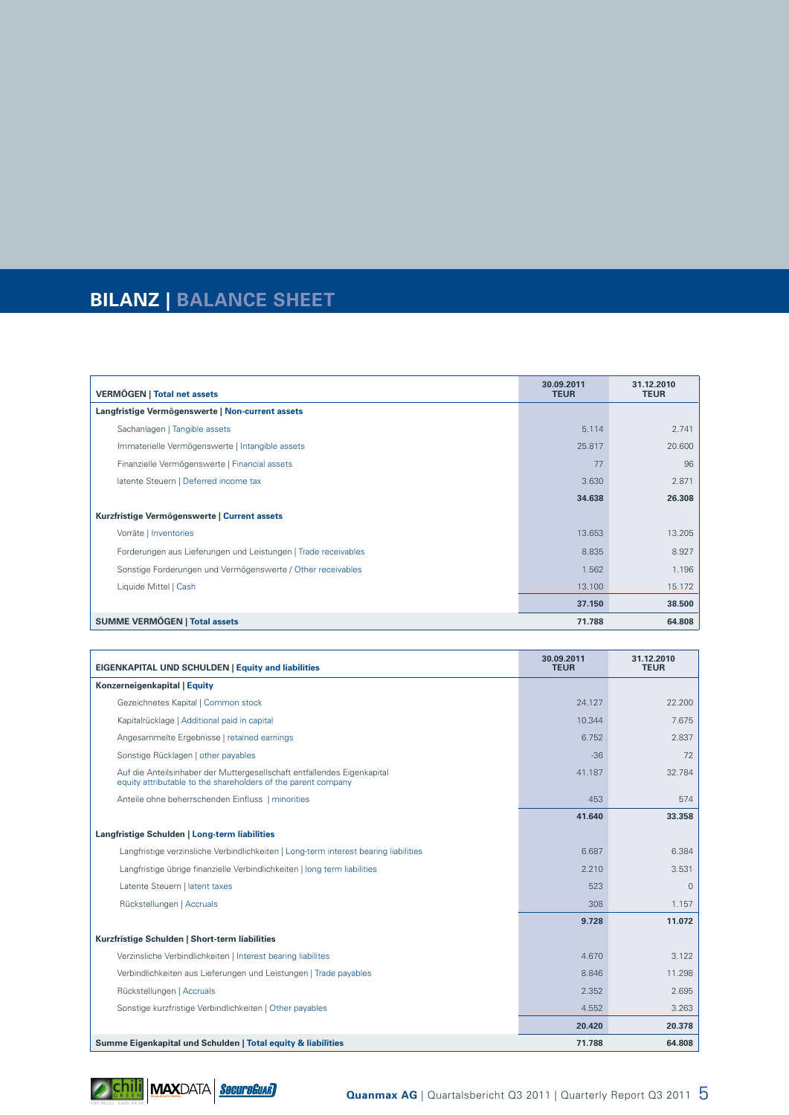# **BILANZ | BALANCE SHEET**

| <b>VERMÖGEN   Total net assets</b>                             | 30.09.2011<br><b>TEUR</b> | 31.12.2010<br><b>TEUR</b> |
|----------------------------------------------------------------|---------------------------|---------------------------|
| Langfristige Vermögenswerte   Non-current assets               |                           |                           |
| Sachanlagen   Tangible assets                                  | 5.114                     | 2.741                     |
| Immaterielle Vermögenswerte   Intangible assets                | 25.817                    | 20.600                    |
| Finanzielle Vermögenswerte   Financial assets                  | 77                        | 96                        |
| latente Steuern   Deferred income tax                          | 3.630                     | 2.871                     |
|                                                                | 34.638                    | 26.308                    |
| Kurzfristige Vermögenswerte   Current assets                   |                           |                           |
| Vorräte   Inventories                                          | 13.653                    | 13.205                    |
| Forderungen aus Lieferungen und Leistungen   Trade receivables | 8.835                     | 8.927                     |
| Sonstige Forderungen und Vermögenswerte / Other receivables    | 1.562                     | 1.196                     |
| Liquide Mittel   Cash                                          | 13.100                    | 15.172                    |
|                                                                | 37.150                    | 38.500                    |
| <b>SUMME VERMÖGEN   Total assets</b>                           | 71.788                    | 64.808                    |

| <b>EIGENKAPITAL UND SCHULDEN   Equity and liabilities</b>                                                                                | 30.09.2011<br><b>TEUR</b> | 31.12.2010<br><b>TEUR</b> |
|------------------------------------------------------------------------------------------------------------------------------------------|---------------------------|---------------------------|
| Konzerneigenkapital   Equity                                                                                                             |                           |                           |
| Gezeichnetes Kapital   Common stock                                                                                                      | 24.127                    | 22.200                    |
| Kapitalrücklage   Additional paid in capital                                                                                             | 10.344                    | 7.675                     |
| Angesammelte Ergebnisse   retained earnings                                                                                              | 6.752                     | 2.837                     |
| Sonstige Rücklagen   other payables                                                                                                      | $-36$                     | 72                        |
| Auf die Anteilsinhaber der Muttergesellschaft entfallendes Eigenkapital<br>equity attributable to the shareholders of the parent company | 41.187                    | 32.784                    |
| Anteile ohne beherrschenden Einfluss   minorities                                                                                        | 453                       | 574                       |
|                                                                                                                                          | 41.640                    | 33.358                    |
| Langfristige Schulden   Long-term liabilities                                                                                            |                           |                           |
| Langfristige verzinsliche Verbindlichkeiten   Long-term interest bearing liabilities                                                     | 6.687                     | 6.384                     |
| Langfristige übrige finanzielle Verbindlichkeiten   long term liabilities                                                                | 2.210                     | 3.531                     |
| Latente Steuern   latent taxes                                                                                                           | 523                       | $\mathbf{0}$              |
| Rückstellungen   Accruals                                                                                                                | 308                       | 1.157                     |
|                                                                                                                                          | 9.728                     | 11.072                    |
| Kurzfristige Schulden   Short-term liabilities                                                                                           |                           |                           |
| Verzinsliche Verbindlichkeiten   Interest bearing liabilites                                                                             | 4.670                     | 3.122                     |
| Verbindlichkeiten aus Lieferungen und Leistungen   Trade payables                                                                        | 8.846                     | 11.298                    |
| Rückstellungen   Accruals                                                                                                                | 2.352                     | 2.695                     |
| Sonstige kurzfristige Verbindlichkeiten   Other payables                                                                                 | 4.552                     | 3.263                     |
|                                                                                                                                          | 20.420                    | 20.378                    |
| Summe Eigenkapital und Schulden   Total equity & liabilities                                                                             | 71.788                    | 64.808                    |

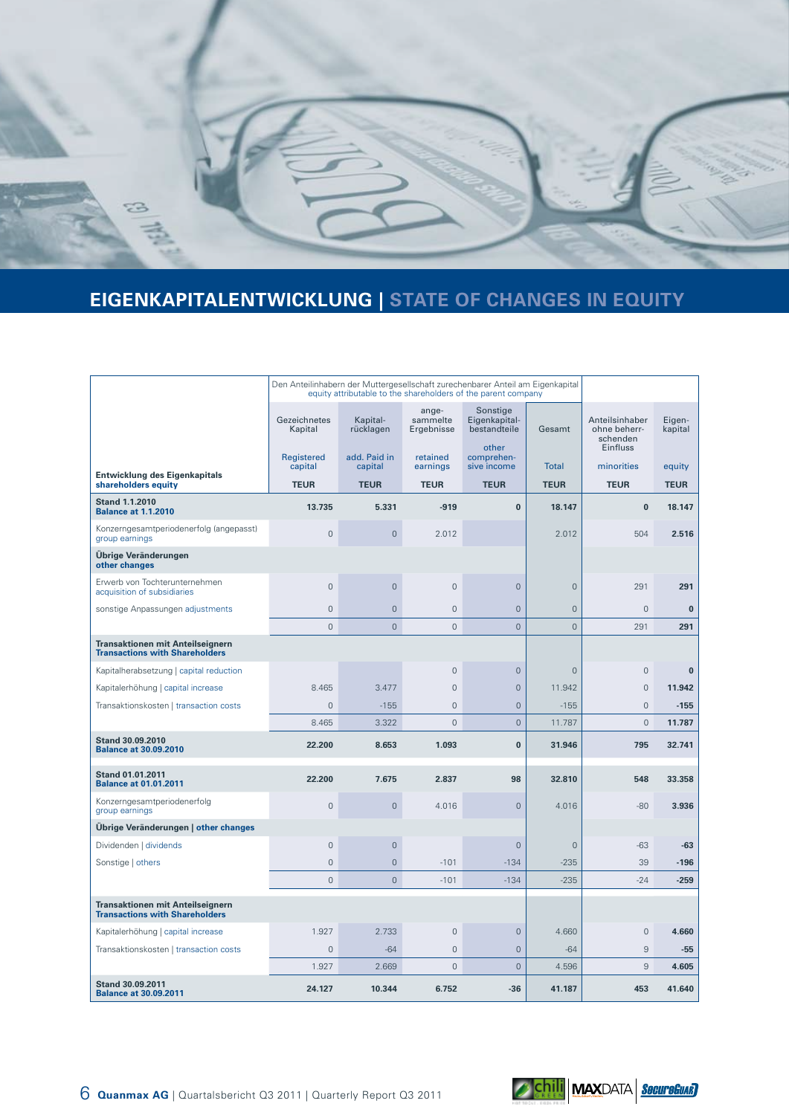

# **EIGENKAPITALENTWICKLUNG | STATE OF CHANGES IN EQUITY**

|                                                                                  | Den Anteilinhabern der Muttergesellschaft zurechenbarer Anteil am Eigenkapital<br>equity attributable to the shareholders of the parent company |                         |                                 |                                           |                |                                            |                   |
|----------------------------------------------------------------------------------|-------------------------------------------------------------------------------------------------------------------------------------------------|-------------------------|---------------------------------|-------------------------------------------|----------------|--------------------------------------------|-------------------|
|                                                                                  | Gezeichnetes<br>Kapital                                                                                                                         | Kapital-<br>rücklagen   | ange-<br>sammelte<br>Ergebnisse | Sonstige<br>Eigenkapital-<br>bestandteile | Gesamt         | Anteilsinhaber<br>ohne beherr-<br>schenden | Eigen-<br>kapital |
|                                                                                  | Registered<br>capital                                                                                                                           | add. Paid in<br>capital | retained<br>earnings            | other<br>comprehen-<br>sive income        | <b>Total</b>   | Einfluss<br>minorities                     | equity            |
| <b>Entwicklung des Eigenkapitals</b><br>shareholders equity                      | <b>TEUR</b>                                                                                                                                     | <b>TEUR</b>             | <b>TEUR</b>                     | <b>TEUR</b>                               | <b>TEUR</b>    | <b>TEUR</b>                                | <b>TEUR</b>       |
| <b>Stand 1.1.2010</b><br><b>Balance at 1.1.2010</b>                              | 13.735                                                                                                                                          | 5.331                   | $-919$                          | $\bf{0}$                                  | 18.147         | $\bf{0}$                                   | 18.147            |
| Konzerngesamtperiodenerfolg (angepasst)<br>group earnings                        | $\overline{0}$                                                                                                                                  | $\mathbf 0$             | 2.012                           |                                           | 2.012          | 504                                        | 2.516             |
| Übrige Veränderungen<br>other changes                                            |                                                                                                                                                 |                         |                                 |                                           |                |                                            |                   |
| Erwerb von Tochterunternehmen<br>acquisition of subsidiaries                     | $\Omega$                                                                                                                                        | $\mathbf{0}$            | $\Omega$                        | $\Omega$                                  | $\Omega$       | 291                                        | 291               |
| sonstige Anpassungen adjustments                                                 | $\mathsf{O}\xspace$                                                                                                                             | $\mathbf 0$             | $\mathsf{O}\xspace$             | $\mathbf 0$                               | $\mathbf 0$    | $\mathbf 0$                                | $\bf{0}$          |
|                                                                                  | $\overline{0}$                                                                                                                                  | $\overline{0}$          | $\overline{0}$                  | $\overline{0}$                            | $\overline{0}$ | 291                                        | 291               |
| <b>Transaktionen mit Anteilseignern</b><br><b>Transactions with Shareholders</b> |                                                                                                                                                 |                         |                                 |                                           |                |                                            |                   |
| Kapitalherabsetzung   capital reduction                                          |                                                                                                                                                 |                         | $\Omega$                        | $\Omega$                                  | $\Omega$       | $\Omega$                                   | $\bf{0}$          |
| Kapitalerhöhung   capital increase                                               | 8.465                                                                                                                                           | 3.477                   | $\mathbf{0}$                    | $\mathbf{0}$                              | 11.942         | $\mathbf{0}$                               | 11.942            |
| Transaktionskosten   transaction costs                                           | $\overline{0}$                                                                                                                                  | $-155$                  | $\overline{0}$                  | $\mathbf 0$                               | $-155$         | $\mathbf 0$                                | $-155$            |
|                                                                                  | 8.465                                                                                                                                           | 3.322                   | $\mathbf{0}$                    | $\mathbf 0$                               | 11.787         | $\overline{0}$                             | 11.787            |
| <b>Stand 30.09.2010</b><br><b>Balance at 30.09.2010</b>                          | 22.200                                                                                                                                          | 8.653                   | 1.093                           | $\bf{0}$                                  | 31.946         | 795                                        | 32.741            |
| Stand 01.01.2011<br><b>Balance at 01.01.2011</b>                                 | 22.200                                                                                                                                          | 7.675                   | 2.837                           | 98                                        | 32.810         | 548                                        | 33.358            |
| Konzerngesamtperiodenerfolg<br>group earnings                                    | $\overline{0}$                                                                                                                                  | $\mathsf{O}\xspace$     | 4.016                           | $\overline{0}$                            | 4.016          | $-80$                                      | 3.936             |
| Übrige Veränderungen   other changes                                             |                                                                                                                                                 |                         |                                 |                                           |                |                                            |                   |
| Dividenden   dividends                                                           | $\mathbf{0}$                                                                                                                                    | $\mathbf 0$             |                                 | $\mathbf{0}$                              | $\mathbf 0$    | $-63$                                      | -63               |
| Sonstige   others                                                                | $\Omega$                                                                                                                                        | $\overline{0}$          | $-101$                          | $-134$                                    | $-235$         | 39                                         | $-196$            |
|                                                                                  | $\overline{0}$                                                                                                                                  | $\overline{0}$          | $-101$                          | $-134$                                    | $-235$         | $-24$                                      | $-259$            |
| <b>Transaktionen mit Anteilseignern</b><br><b>Transactions with Shareholders</b> |                                                                                                                                                 |                         |                                 |                                           |                |                                            |                   |
| Kapitalerhöhung   capital increase                                               | 1.927                                                                                                                                           | 2.733                   | $\Omega$                        | $\overline{0}$                            | 4.660          | $\mathbf{0}$                               | 4.660             |
| Transaktionskosten   transaction costs                                           | $\mathsf{O}\xspace$                                                                                                                             | $-64$                   | $\overline{0}$                  | $\mathbf 0$                               | $-64$          | $\mathsf 9$                                | -55               |
|                                                                                  | 1.927                                                                                                                                           | 2.669                   | $\overline{0}$                  | $\overline{0}$                            | 4.596          | 9                                          | 4.605             |
| <b>Stand 30.09.2011</b><br><b>Balance at 30.09.2011</b>                          | 24.127                                                                                                                                          | 10.344                  | 6.752                           | $-36$                                     | 41.187         | 453                                        | 41.640            |

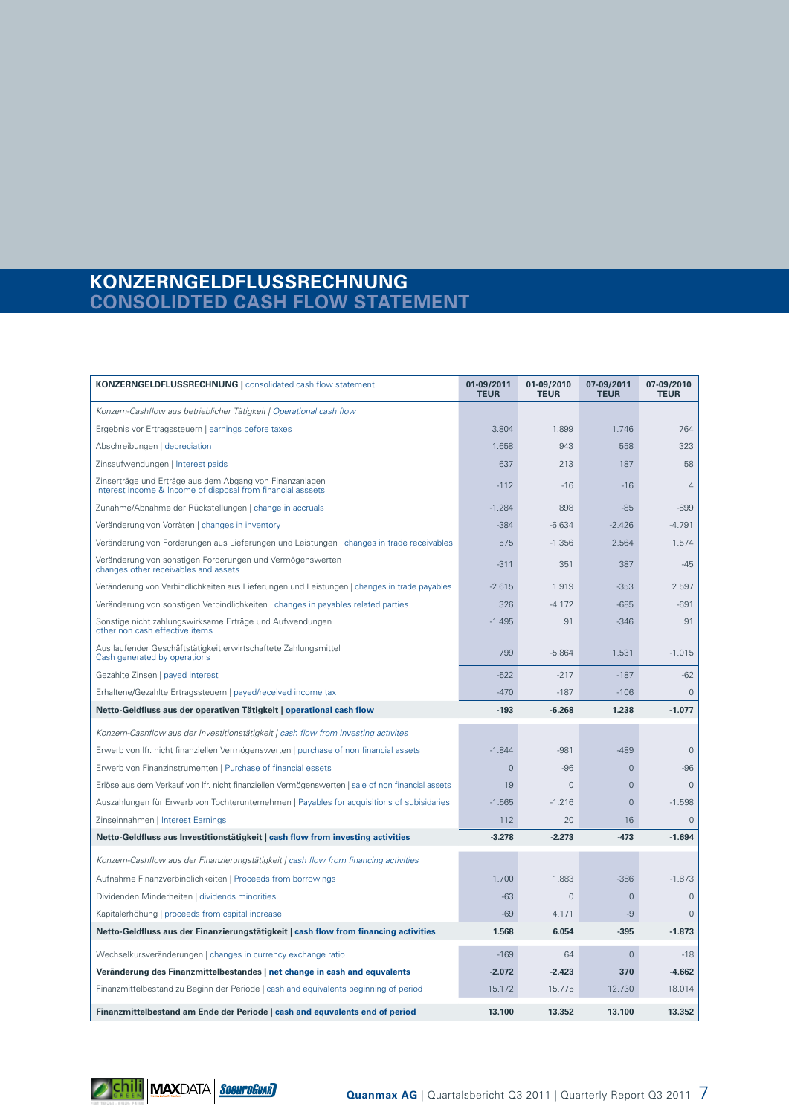### **KONZERNGELDFLUSSRECHNUNG CONSOLIDTED CASH FLOW STATEMENT**

| <b>KONZERNGELDFLUSSRECHNUNG</b>   consolidated cash flow statement                                                      | 01-09/2011<br><b>TEUR</b> | 01-09/2010<br><b>TEUR</b> | 07-09/2011<br><b>TEUR</b> | 07-09/2010<br><b>TEUR</b> |
|-------------------------------------------------------------------------------------------------------------------------|---------------------------|---------------------------|---------------------------|---------------------------|
| Konzern-Cashflow aus betrieblicher Tätigkeit   Operational cash flow                                                    |                           |                           |                           |                           |
| Ergebnis vor Ertragssteuern   earnings before taxes                                                                     | 3.804                     | 1.899                     | 1.746                     | 764                       |
| Abschreibungen   depreciation                                                                                           | 1.658                     | 943                       | 558                       | 323                       |
| Zinsaufwendungen   Interest paids                                                                                       | 637                       | 213                       | 187                       | 58                        |
| Zinserträge und Erträge aus dem Abgang von Finanzanlagen<br>Interest income & Income of disposal from financial asssets | $-112$                    | $-16$                     | $-16$                     | $\overline{4}$            |
| Zunahme/Abnahme der Rückstellungen   change in accruals                                                                 | $-1.284$                  | 898                       | $-85$                     | $-899$                    |
| Veränderung von Vorräten   changes in inventory                                                                         | $-384$                    | $-6.634$                  | $-2.426$                  | $-4.791$                  |
| Veränderung von Forderungen aus Lieferungen und Leistungen   changes in trade receivables                               | 575                       | $-1.356$                  | 2.564                     | 1.574                     |
| Veränderung von sonstigen Forderungen und Vermögenswerten<br>changes other receivables and assets                       | $-311$                    | 351                       | 387                       | $-45$                     |
| Veränderung von Verbindlichkeiten aus Lieferungen und Leistungen   changes in trade payables                            | $-2.615$                  | 1.919                     | $-353$                    | 2.597                     |
| Veränderung von sonstigen Verbindlichkeiten   changes in payables related parties                                       | 326                       | $-4.172$                  | $-685$                    | $-691$                    |
| Sonstige nicht zahlungswirksame Erträge und Aufwendungen<br>other non cash effective items                              | $-1.495$                  | 91                        | $-346$                    | 91                        |
| Aus laufender Geschäftstätigkeit erwirtschaftete Zahlungsmittel<br>Cash generated by operations                         | 799                       | $-5.864$                  | 1.531                     | $-1.015$                  |
| Gezahlte Zinsen   payed interest                                                                                        | $-522$                    | $-217$                    | $-187$                    | $-62$                     |
| Erhaltene/Gezahlte Ertragssteuern   payed/received income tax                                                           | $-470$                    | $-187$                    | $-106$                    | $\overline{0}$            |
| Netto-Geldfluss aus der operativen Tätigkeit   operational cash flow                                                    | $-193$                    | $-6.268$                  | 1.238                     | $-1.077$                  |
| Konzern-Cashflow aus der Investitionstätigkeit   cash flow from investing activites                                     |                           |                           |                           |                           |
| Erwerb von Ifr. nicht finanziellen Vermögenswerten   purchase of non financial assets                                   | $-1.844$                  | $-981$                    | $-489$                    | $\mathbf{0}$              |
| Erwerb von Finanzinstrumenten   Purchase of financial essets                                                            | $\mathbf 0$               | $-96$                     | $\mathbf{0}$              | -96                       |
| Erlöse aus dem Verkauf von Ifr. nicht finanziellen Vermögenswerten   sale of non financial assets                       | 19                        | $\mathbf{0}$              | $\overline{0}$            | $\overline{0}$            |
| Auszahlungen für Erwerb von Tochterunternehmen   Payables for acquisitions of subisidaries                              | $-1.565$                  | $-1.216$                  | $\overline{0}$            | $-1.598$                  |
| Zinseinnahmen   Interest Earnings                                                                                       | 112                       | 20                        | 16                        | $\overline{0}$            |
| Netto-Geldfluss aus Investitionstätigkeit   cash flow from investing activities                                         | $-3.278$                  | $-2.273$                  | $-473$                    | $-1.694$                  |
| Konzern-Cashflow aus der Finanzierungstätigkeit   cash flow from financing activities                                   |                           |                           |                           |                           |
| Aufnahme Finanzverbindlichkeiten   Proceeds from borrowings                                                             | 1.700                     | 1.883                     | $-386$                    | $-1.873$                  |
| Dividenden Minderheiten   dividends minorities                                                                          | $-63$                     | $\overline{0}$            | $\mathbf 0$               | $\mathbf{0}$              |
| Kapitalerhöhung   proceeds from capital increase                                                                        | $-69$                     | 4.171                     | $-9$                      | $\overline{0}$            |
| Netto-Geldfluss aus der Finanzierungstätigkeit   cash flow from financing activities                                    | 1.568                     | 6.054                     | $-395$                    | $-1.873$                  |
| Wechselkursveränderungen   changes in currency exchange ratio                                                           | $-169$                    | 64                        | $\mathbf 0$               | $-18$                     |
| Veränderung des Finanzmittelbestandes   net change in cash and equvalents                                               | $-2.072$                  | $-2.423$                  | 370                       | $-4.662$                  |
| Finanzmittelbestand zu Beginn der Periode   cash and equivalents beginning of period                                    | 15.172                    | 15.775                    | 12.730                    | 18.014                    |
| Finanzmittelbestand am Ende der Periode   cash and equvalents end of period                                             | 13.100                    | 13.352                    | 13.100                    | 13.352                    |

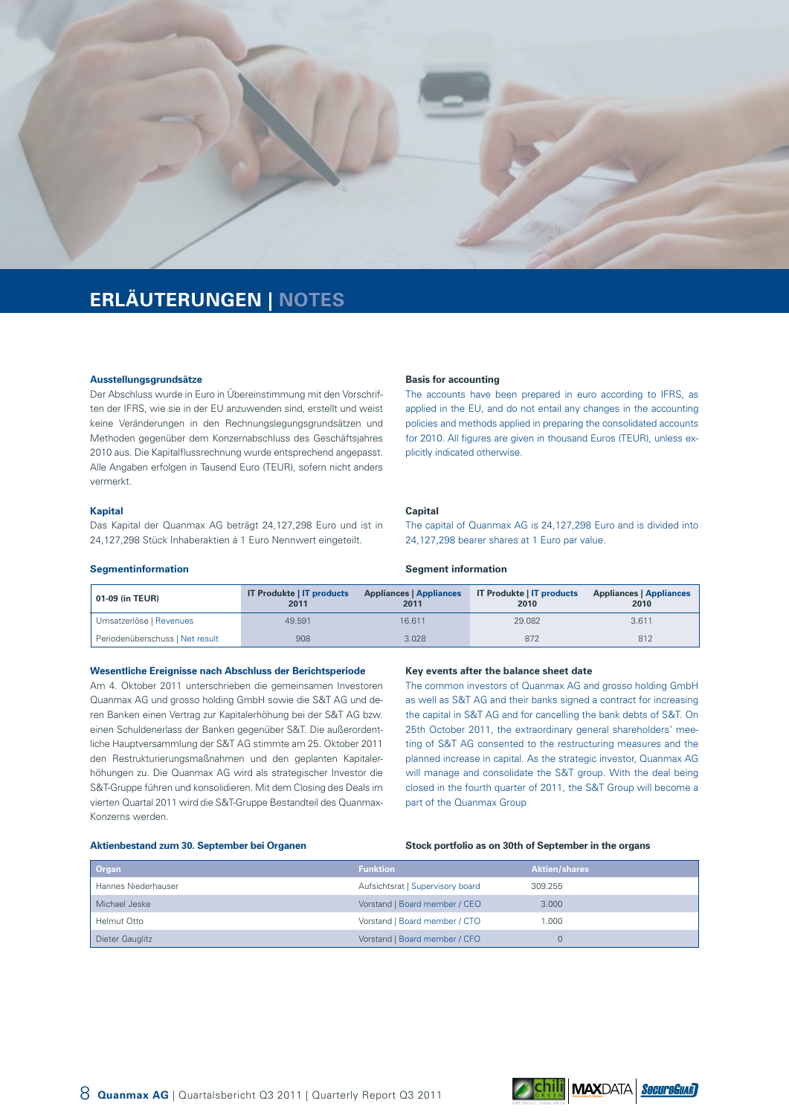

# **ERLÄUTERUNGEN | NOTES**

#### **Ausstellungsgrundsätze**

Der Abschluss wurde in Euro in Übereinstimmung mit den Vorschriften der IFRS, wie sie in der EU anzuwenden sind, erstellt und weist keine Veränderungen in den Rechnungslegungsgrundsätzen und Methoden gegenüber dem Konzernabschluss des Geschäftsjahres 2010 aus. Die Kapitalflussrechnung wurde entsprechend angepasst. Alle Angaben erfolgen in Tausend Euro (TEUR), sofern nicht anders vermerkt.

#### **Kapital**

Das Kapital der Quanmax AG beträgt 24,127,298 Euro und ist in 24,127,298 Stück Inhaberaktien á 1 Euro Nennwert eingeteilt.

#### **Basis for accounting**

**Segment information**

The accounts have been prepared in euro according to IFRS, as applied in the EU, and do not entail any changes in the accounting policies and methods applied in preparing the consolidated accounts for 2010. All figures are given in thousand Euros (TEUR), unless explicitly indicated otherwise.

#### **Capital**

The capital of Quanmax AG is 24,127,298 Euro and is divided into 24,127,298 bearer shares at 1 Euro par value.

#### **Segmentinformation**

| 01-09 (in TEUR)                 | <b>IT Produkte   IT products</b><br>2011 | <b>Appliances   Appliances</b><br>2011 | <b>IT Produkte   IT products</b><br>2010 | <b>Appliances   Appliances</b><br>2010 |
|---------------------------------|------------------------------------------|----------------------------------------|------------------------------------------|----------------------------------------|
| Umsatzerlöse   Revenues         | 49.591                                   | 16.611                                 | 29,082                                   | 3.611                                  |
| Periodenüberschuss   Net result | 908                                      | 3.028                                  | 872                                      | 812                                    |

#### **Wesentliche Ereignisse nach Abschluss der Berichtsperiode**

Am 4. Oktober 2011 unterschrieben die gemeinsamen Investoren Quanmax AG und grosso holding GmbH sowie die S&T AG und deren Banken einen Vertrag zur Kapitalerhöhung bei der S&T AG bzw. einen Schuldenerlass der Banken gegenüber S&T. Die außerordentliche Hauptversammlung der S&T AG stimmte am 25. Oktober 2011 den Restrukturierungsmaßnahmen und den geplanten Kapitalerhöhungen zu. Die Quanmax AG wird als strategischer Investor die S&T-Gruppe führen und konsolidieren. Mit dem Closing des Deals im vierten Quartal 2011 wird die S&T-Gruppe Bestandteil des Quanmax-Konzerns werden.

#### **Key events after the balance sheet date**

The common investors of Quanmax AG and grosso holding GmbH as well as S&T AG and their banks signed a contract for increasing the capital in S&T AG and for cancelling the bank debts of S&T. On 25th October 2011, the extraordinary general shareholders' meeting of S&T AG consented to the restructuring measures and the planned increase in capital. As the strategic investor, Quanmax AG will manage and consolidate the S&T group. With the deal being closed in the fourth quarter of 2011, the S&T Group will become a part of the Quanmax Group

#### **Aktienbestand zum 30. September bei Organen**

#### **Stock portfolio as on 30th of September in the organs**

| Organ               | <b>Funktion</b>                  | <b>Aktien/shares</b> |
|---------------------|----------------------------------|----------------------|
| Hannes Niederhauser | Aufsichtsrat   Supervisory board | 309.255              |
| Michael Jeske       | Vorstand   Board member / CEO    | 3.000                |
| Helmut Otto         | Vorstand   Board member / CTO    | 1.000                |
| Dieter Gauglitz     | Vorstand   Board member / CFO    |                      |

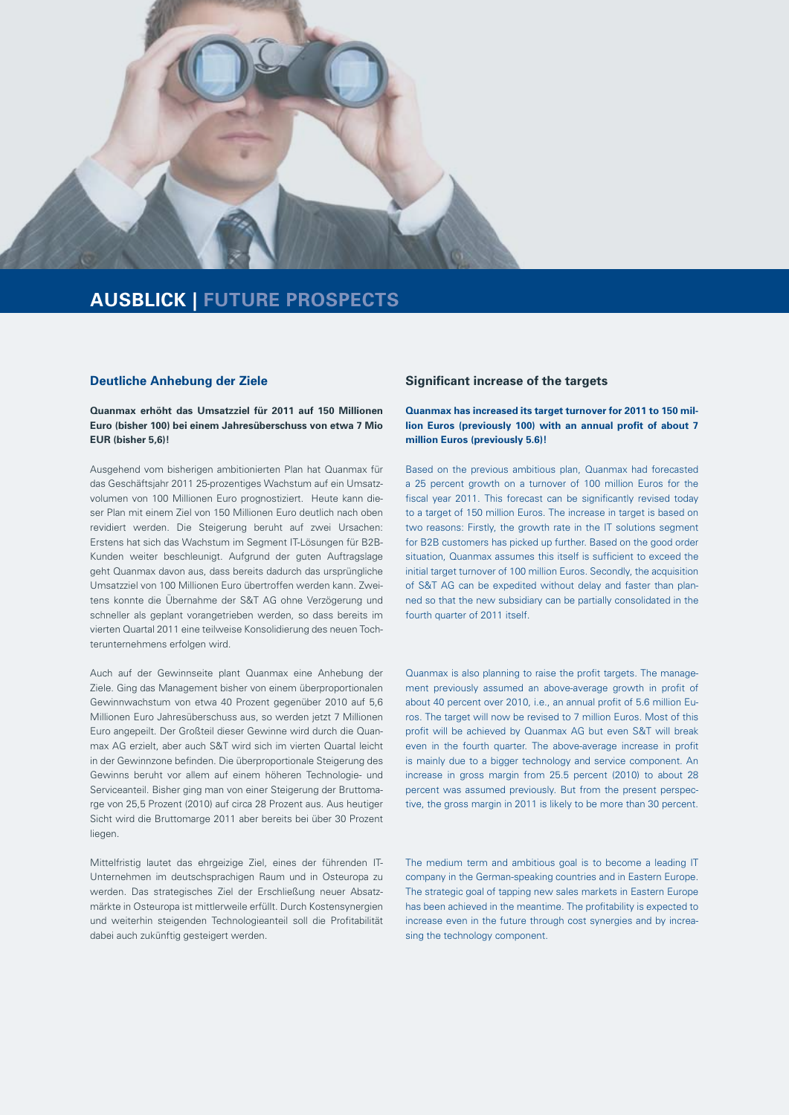

# **AUSBLICK | FUTURE PROSPECTS**

#### **Deutliche Anhebung der Ziele**

#### **Quanmax erhöht das Umsatzziel für 2011 auf 150 Millionen Euro (bisher 100) bei einem Jahresüberschuss von etwa 7 Mio EUR (bisher 5,6)!**

Ausgehend vom bisherigen ambitionierten Plan hat Quanmax für das Geschäftsjahr 2011 25-prozentiges Wachstum auf ein Umsatzvolumen von 100 Millionen Euro prognostiziert. Heute kann dieser Plan mit einem Ziel von 150 Millionen Euro deutlich nach oben revidiert werden. Die Steigerung beruht auf zwei Ursachen: Erstens hat sich das Wachstum im Segment IT-Lösungen für B2B-Kunden weiter beschleunigt. Aufgrund der guten Auftragslage geht Quanmax davon aus, dass bereits dadurch das ursprüngliche Umsatzziel von 100 Millionen Euro übertroffen werden kann. Zweitens konnte die Übernahme der S&T AG ohne Verzögerung und schneller als geplant vorangetrieben werden, so dass bereits im vierten Quartal 2011 eine teilweise Konsolidierung des neuen Tochterunternehmens erfolgen wird.

Auch auf der Gewinnseite plant Quanmax eine Anhebung der Ziele. Ging das Management bisher von einem überproportionalen Gewinnwachstum von etwa 40 Prozent gegenüber 2010 auf 5,6 Millionen Euro Jahresüberschuss aus, so werden jetzt 7 Millionen Euro angepeilt. Der Großteil dieser Gewinne wird durch die Quanmax AG erzielt, aber auch S&T wird sich im vierten Quartal leicht in der Gewinnzone befinden. Die überproportionale Steigerung des Gewinns beruht vor allem auf einem höheren Technologie- und Serviceanteil. Bisher ging man von einer Steigerung der Bruttomarge von 25,5 Prozent (2010) auf circa 28 Prozent aus. Aus heutiger Sicht wird die Bruttomarge 2011 aber bereits bei über 30 Prozent liegen.

Mittelfristig lautet das ehrgeizige Ziel, eines der führenden IT-Unternehmen im deutschsprachigen Raum und in Osteuropa zu werden. Das strategisches Ziel der Erschließung neuer Absatzmärkte in Osteuropa ist mittlerweile erfüllt. Durch Kostensynergien und weiterhin steigenden Technologieanteil soll die Profitabilität dabei auch zukünftig gesteigert werden.

#### **Significant increase of the targets**

#### **Quanmax has increased its target turnover for 2011 to 150 million Euros (previously 100) with an annual profit of about 7 million Euros (previously 5.6)!**

Based on the previous ambitious plan, Quanmax had forecasted a 25 percent growth on a turnover of 100 million Euros for the fiscal year 2011. This forecast can be significantly revised today to a target of 150 million Euros. The increase in target is based on two reasons: Firstly, the growth rate in the IT solutions segment for B2B customers has picked up further. Based on the good order situation, Quanmax assumes this itself is sufficient to exceed the initial target turnover of 100 million Euros. Secondly, the acquisition of S&T AG can be expedited without delay and faster than planned so that the new subsidiary can be partially consolidated in the fourth quarter of 2011 itself.

Quanmax is also planning to raise the profit targets. The management previously assumed an above-average growth in profit of about 40 percent over 2010, i.e., an annual profit of 5.6 million Euros. The target will now be revised to 7 million Euros. Most of this profit will be achieved by Quanmax AG but even S&T will break even in the fourth quarter. The above-average increase in profit is mainly due to a bigger technology and service component. An increase in gross margin from 25.5 percent (2010) to about 28 percent was assumed previously. But from the present perspective, the gross margin in 2011 is likely to be more than 30 percent.

The medium term and ambitious goal is to become a leading IT company in the German-speaking countries and in Eastern Europe. The strategic goal of tapping new sales markets in Eastern Europe has been achieved in the meantime. The profitability is expected to increase even in the future through cost synergies and by increasing the technology component.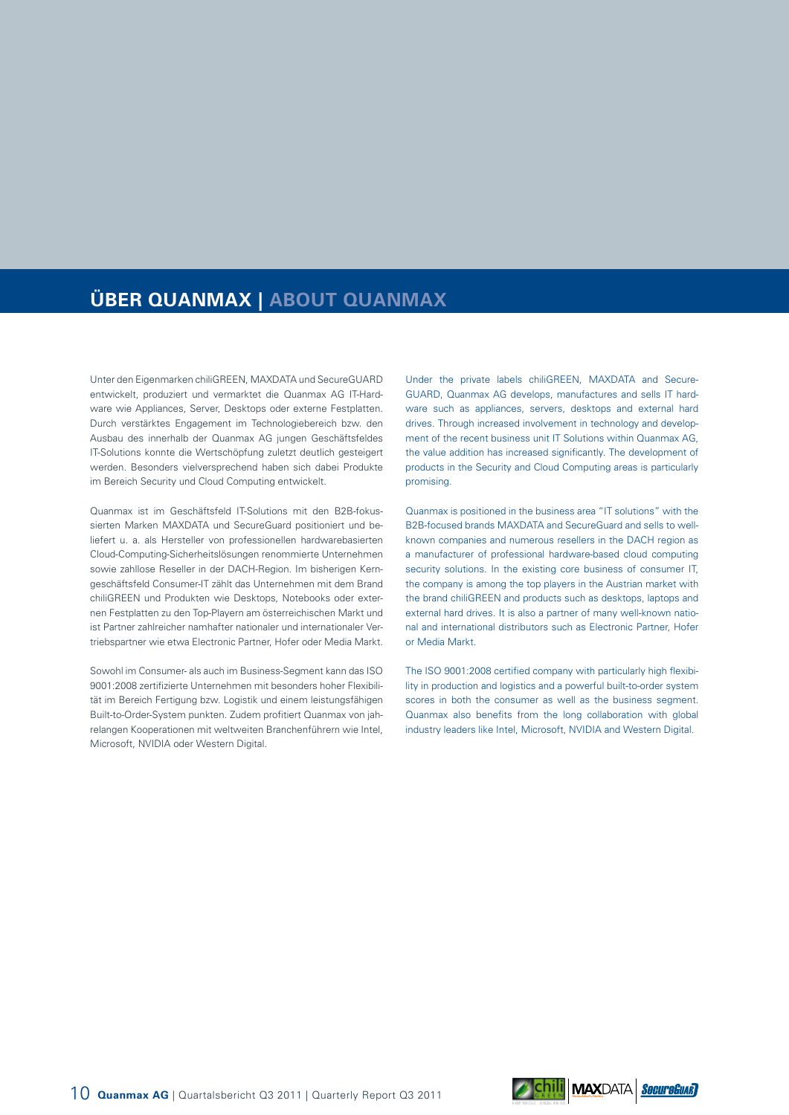# **ÜBER QUANMAX | ABOUT QUANMAX**

Unter den Eigenmarken chiliGREEN, MAXDATA und SecureGUARD entwickelt, produziert und vermarktet die Quanmax AG IT-Hardware wie Appliances, Server, Desktops oder externe Festplatten. Durch verstärktes Engagement im Technologiebereich bzw. den Ausbau des innerhalb der Quanmax AG jungen Geschäftsfeldes IT-Solutions konnte die Wertschöpfung zuletzt deutlich gesteigert werden. Besonders vielversprechend haben sich dabei Produkte im Bereich Security und Cloud Computing entwickelt.

Quanmax ist im Geschäftsfeld IT-Solutions mit den B2B-fokussierten Marken MAXDATA und SecureGuard positioniert und beliefert u. a. als Hersteller von professionellen hardwarebasierten Cloud-Computing-Sicherheitslösungen renommierte Unternehmen sowie zahllose Reseller in der DACH-Region. Im bisherigen Kerngeschäftsfeld Consumer-IT zählt das Unternehmen mit dem Brand chiliGREEN und Produkten wie Desktops, Notebooks oder externen Festplatten zu den Top-Playern am österreichischen Markt und ist Partner zahlreicher namhafter nationaler und internationaler Vertriebspartner wie etwa Electronic Partner, Hofer oder Media Markt.

Sowohl im Consumer- als auch im Business-Segment kann das ISO 9001:2008 zertifizierte Unternehmen mit besonders hoher Flexibilität im Bereich Fertigung bzw. Logistik und einem leistungsfähigen Built-to-Order-System punkten. Zudem profitiert Quanmax von jahrelangen Kooperationen mit weltweiten Branchenführern wie Intel, Microsoft, NVIDIA oder Western Digital.

Under the private labels chiliGREEN, MAXDATA and Secure-GUARD, Quanmax AG develops, manufactures and sells IT hardware such as appliances, servers, desktops and external hard drives. Through increased involvement in technology and development of the recent business unit IT Solutions within Quanmax AG, the value addition has increased significantly. The development of products in the Security and Cloud Computing areas is particularly promising.

Quanmax is positioned in the business area "IT solutions" with the B2B-focused brands MAXDATA and SecureGuard and sells to wellknown companies and numerous resellers in the DACH region as a manufacturer of professional hardware-based cloud computing security solutions. In the existing core business of consumer IT, the company is among the top players in the Austrian market with the brand chiliGREEN and products such as desktops, laptops and external hard drives. It is also a partner of many well-known national and international distributors such as Electronic Partner, Hofer or Media Markt.

The ISO 9001:2008 certified company with particularly high flexibility in production and logistics and a powerful built-to-order system scores in both the consumer as well as the business segment. Quanmax also benefits from the long collaboration with global industry leaders like Intel, Microsoft, NVIDIA and Western Digital.

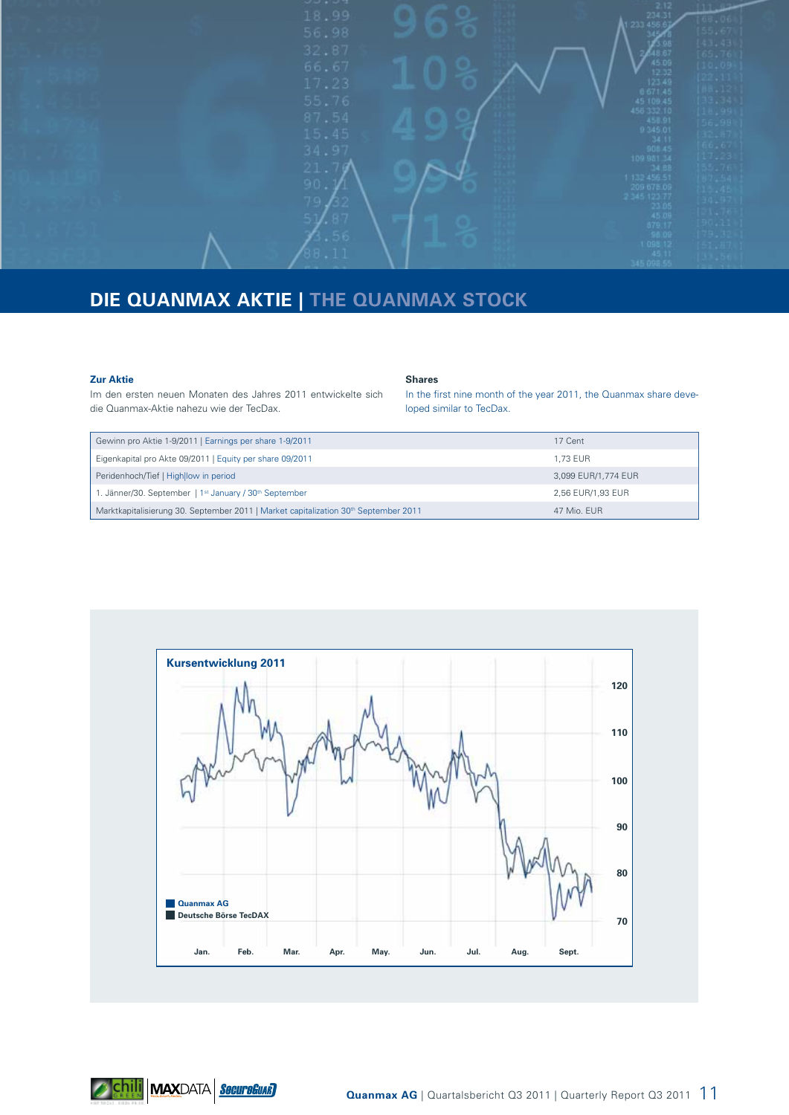

# **DIE QUANMAX AKTIE | THE QUANMAX STOCK**

#### **Zur Aktie**

**Shares**

Im den ersten neuen Monaten des Jahres 2011 entwickelte sich die Quanmax-Aktie nahezu wie der TecDax.

In the first nine month of the year 2011, the Quanmax share developed similar to TecDax.

| Gewinn pro Aktie 1-9/2011   Earnings per share 1-9/2011                                         | 17 Cent             |
|-------------------------------------------------------------------------------------------------|---------------------|
| Eigenkapital pro Akte 09/2011   Equity per share 09/2011                                        | 1.73 EUR            |
| Peridenhoch/Tief   High low in period                                                           | 3,099 EUR/1,774 EUR |
| 1. Jänner/30. September   1 <sup>st</sup> January / 30 <sup>th</sup> September                  | 2,56 EUR/1,93 EUR   |
| Marktkapitalisierung 30. September 2011   Market capitalization 30 <sup>th</sup> September 2011 | 47 Mio. EUR         |